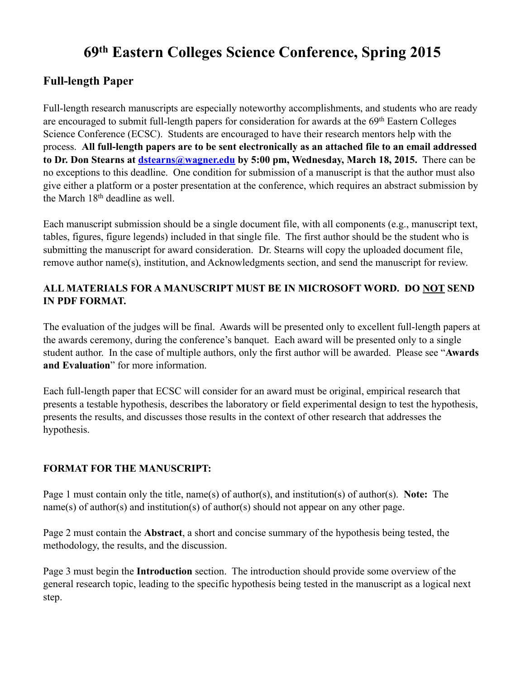# **69th Eastern Colleges Science Conference, Spring 2015**

# **Full-length Paper**

Full-length research manuscripts are especially noteworthy accomplishments, and students who are ready are encouraged to submit full-length papers for consideration for awards at the 69th Eastern Colleges Science Conference (ECSC). Students are encouraged to have their research mentors help with the process. **All full-length papers are to be sent electronically as an attached file to an email addressed to Dr. Don Stearns at [dstearns@wagner.edu](mailto:dstearns@wagner.edu) by 5:00 pm, Wednesday, March 18, 2015.** There can be no exceptions to this deadline. One condition for submission of a manuscript is that the author must also give either a platform or a poster presentation at the conference, which requires an abstract submission by the March 18th deadline as well.

Each manuscript submission should be a single document file, with all components (e.g., manuscript text, tables, figures, figure legends) included in that single file. The first author should be the student who is submitting the manuscript for award consideration. Dr. Stearns will copy the uploaded document file, remove author name(s), institution, and Acknowledgments section, and send the manuscript for review.

## **ALL MATERIALS FOR A MANUSCRIPT MUST BE IN MICROSOFT WORD. DO NOT SEND IN PDF FORMAT.**

The evaluation of the judges will be final. Awards will be presented only to excellent full-length papers at the awards ceremony, during the conference's banquet. Each award will be presented only to a single student author. In the case of multiple authors, only the first author will be awarded. Please see "**Awards and Evaluation**" for more information.

Each full-length paper that ECSC will consider for an award must be original, empirical research that presents a testable hypothesis, describes the laboratory or field experimental design to test the hypothesis, presents the results, and discusses those results in the context of other research that addresses the hypothesis.

### **FORMAT FOR THE MANUSCRIPT:**

Page 1 must contain only the title, name(s) of author(s), and institution(s) of author(s). **Note:** The name(s) of author(s) and institution(s) of author(s) should not appear on any other page.

Page 2 must contain the **Abstract**, a short and concise summary of the hypothesis being tested, the methodology, the results, and the discussion.

Page 3 must begin the **Introduction** section. The introduction should provide some overview of the general research topic, leading to the specific hypothesis being tested in the manuscript as a logical next step.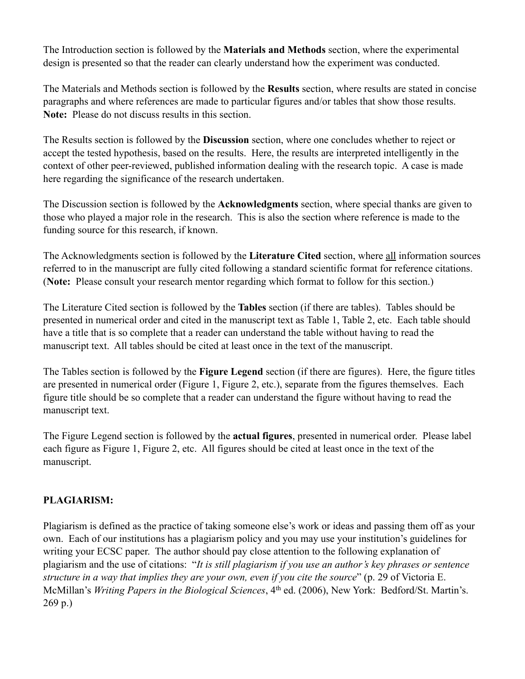The Introduction section is followed by the **Materials and Methods** section, where the experimental design is presented so that the reader can clearly understand how the experiment was conducted.

The Materials and Methods section is followed by the **Results** section, where results are stated in concise paragraphs and where references are made to particular figures and/or tables that show those results. **Note:** Please do not discuss results in this section.

The Results section is followed by the **Discussion** section, where one concludes whether to reject or accept the tested hypothesis, based on the results. Here, the results are interpreted intelligently in the context of other peer-reviewed, published information dealing with the research topic. A case is made here regarding the significance of the research undertaken.

The Discussion section is followed by the **Acknowledgments** section, where special thanks are given to those who played a major role in the research. This is also the section where reference is made to the funding source for this research, if known.

The Acknowledgments section is followed by the **Literature Cited** section, where all information sources referred to in the manuscript are fully cited following a standard scientific format for reference citations. (**Note:** Please consult your research mentor regarding which format to follow for this section.)

The Literature Cited section is followed by the **Tables** section (if there are tables). Tables should be presented in numerical order and cited in the manuscript text as Table 1, Table 2, etc. Each table should have a title that is so complete that a reader can understand the table without having to read the manuscript text. All tables should be cited at least once in the text of the manuscript.

The Tables section is followed by the **Figure Legend** section (if there are figures). Here, the figure titles are presented in numerical order (Figure 1, Figure 2, etc.), separate from the figures themselves. Each figure title should be so complete that a reader can understand the figure without having to read the manuscript text.

The Figure Legend section is followed by the **actual figures**, presented in numerical order. Please label each figure as Figure 1, Figure 2, etc. All figures should be cited at least once in the text of the manuscript.

### **PLAGIARISM:**

Plagiarism is defined as the practice of taking someone else's work or ideas and passing them off as your own. Each of our institutions has a plagiarism policy and you may use your institution's guidelines for writing your ECSC paper. The author should pay close attention to the following explanation of plagiarism and the use of citations: "*It is still plagiarism if you use an author's key phrases or sentence structure in a way that implies they are your own, even if you cite the source*" (p. 29 of Victoria E. McMillan's *Writing Papers in the Biological Sciences*, 4th ed. (2006), New York: Bedford/St. Martin's. 269 p.)